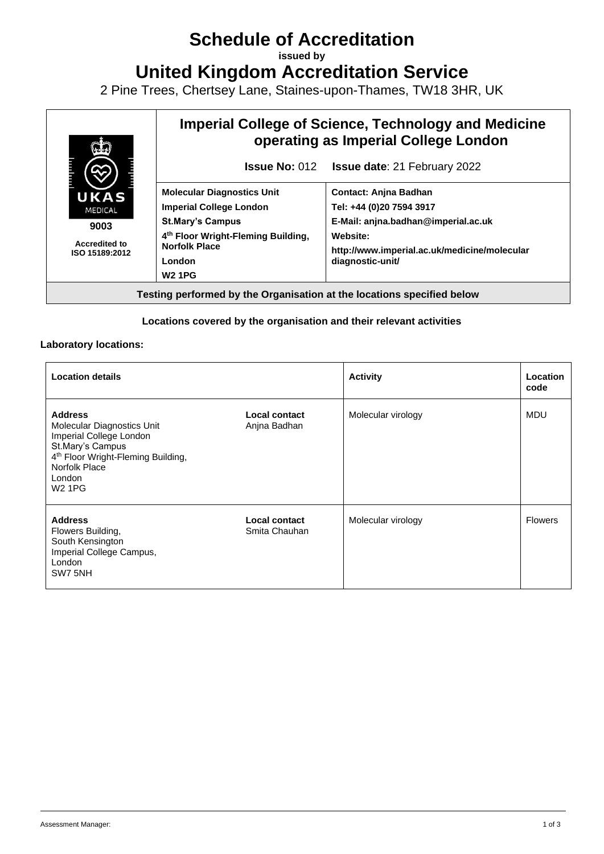# **Schedule of Accreditation**

**issued by**

**United Kingdom Accreditation Service**

2 Pine Trees, Chertsey Lane, Staines-upon-Thames, TW18 3HR, UK



### **Locations covered by the organisation and their relevant activities**

#### **Laboratory locations:**

| <b>Location details</b>                                                                                                                                                                   |                                | <b>Activity</b>    | Location<br>code |
|-------------------------------------------------------------------------------------------------------------------------------------------------------------------------------------------|--------------------------------|--------------------|------------------|
| <b>Address</b><br>Molecular Diagnostics Unit<br>Imperial College London<br>St.Mary's Campus<br>4 <sup>th</sup> Floor Wright-Fleming Building,<br>Norfolk Place<br>London<br><b>W2 1PG</b> | Local contact<br>Anjna Badhan  | Molecular virology | MDU              |
| <b>Address</b><br>Flowers Building,<br>South Kensington<br>Imperial College Campus,<br>London<br>SW7 5NH                                                                                  | Local contact<br>Smita Chauhan | Molecular virology | <b>Flowers</b>   |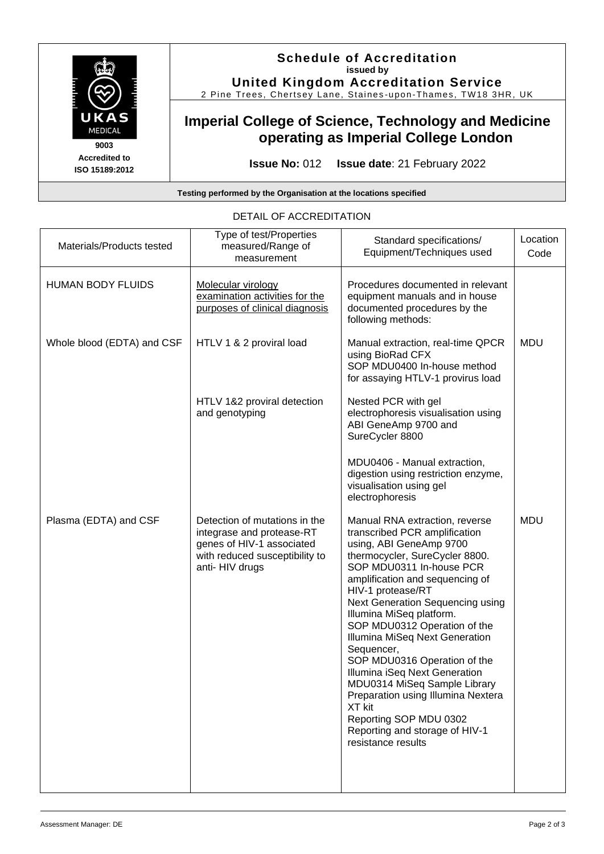

**ISO 15189:2012**

**Schedule of Accreditation issued by United Kingdom Accreditation Service**

2 Pine Trees, Chertsey Lane, Staines -upon -Thames, TW18 3HR, UK

# **Imperial College of Science, Technology and Medicine operating as Imperial College London**

**Issue No:** 012 **Issue date**: 21 February 2022

**Testing performed by the Organisation at the locations specified**

| Materials/Products tested  | Type of test/Properties<br>measured/Range of<br>measurement                                                                                  | Standard specifications/<br>Equipment/Techniques used                                                                                                                                                                                                                                                                                                                                                                                                                                                                                                                                               | Location<br>Code |
|----------------------------|----------------------------------------------------------------------------------------------------------------------------------------------|-----------------------------------------------------------------------------------------------------------------------------------------------------------------------------------------------------------------------------------------------------------------------------------------------------------------------------------------------------------------------------------------------------------------------------------------------------------------------------------------------------------------------------------------------------------------------------------------------------|------------------|
| <b>HUMAN BODY FLUIDS</b>   | Molecular virology<br>examination activities for the<br>purposes of clinical diagnosis                                                       | Procedures documented in relevant<br>equipment manuals and in house<br>documented procedures by the<br>following methods:                                                                                                                                                                                                                                                                                                                                                                                                                                                                           |                  |
| Whole blood (EDTA) and CSF | HTLV 1 & 2 proviral load                                                                                                                     | Manual extraction, real-time QPCR<br>using BioRad CFX<br>SOP MDU0400 In-house method<br>for assaying HTLV-1 provirus load                                                                                                                                                                                                                                                                                                                                                                                                                                                                           | <b>MDU</b>       |
|                            | HTLV 1&2 proviral detection<br>and genotyping                                                                                                | Nested PCR with gel<br>electrophoresis visualisation using<br>ABI GeneAmp 9700 and<br>SureCycler 8800                                                                                                                                                                                                                                                                                                                                                                                                                                                                                               |                  |
|                            |                                                                                                                                              | MDU0406 - Manual extraction,<br>digestion using restriction enzyme,<br>visualisation using gel<br>electrophoresis                                                                                                                                                                                                                                                                                                                                                                                                                                                                                   |                  |
| Plasma (EDTA) and CSF      | Detection of mutations in the<br>integrase and protease-RT<br>genes of HIV-1 associated<br>with reduced susceptibility to<br>anti- HIV drugs | Manual RNA extraction, reverse<br>transcribed PCR amplification<br>using, ABI GeneAmp 9700<br>thermocycler, SureCycler 8800.<br>SOP MDU0311 In-house PCR<br>amplification and sequencing of<br>HIV-1 protease/RT<br>Next Generation Sequencing using<br>Illumina MiSeq platform.<br>SOP MDU0312 Operation of the<br>Illumina MiSeq Next Generation<br>Sequencer,<br>SOP MDU0316 Operation of the<br>Illumina iSeq Next Generation<br>MDU0314 MiSeq Sample Library<br>Preparation using Illumina Nextera<br>XT kit<br>Reporting SOP MDU 0302<br>Reporting and storage of HIV-1<br>resistance results | <b>MDU</b>       |

#### DETAIL OF ACCREDITATION